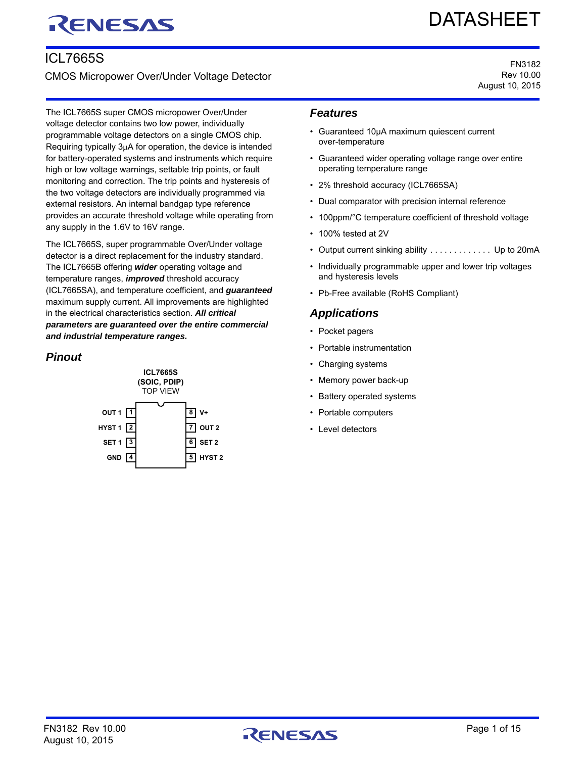# RENESAS

# DATASHEET

FN3182 Rev 10.00 August 10, 2015

## ICL7665S

CMOS Micropower Over/Under Voltage Detector

The ICL7665S super CMOS micropower Over/Under voltage detector contains two low power, individually programmable voltage detectors on a single CMOS chip. Requiring typically  $3\mu A$  for operation, the device is intended for battery-operated systems and instruments which require high or low voltage warnings, settable trip points, or fault monitoring and correction. The trip points and hysteresis of the two voltage detectors are individually programmed via external resistors. An internal bandgap type reference provides an accurate threshold voltage while operating from any supply in the 1.6V to 16V range.

The ICL7665S, super programmable Over/Under voltage detector is a direct replacement for the industry standard. The ICL7665B offering *wider* operating voltage and temperature ranges, *improved* threshold accuracy (ICL7665SA), and temperature coefficient, and *guaranteed* maximum supply current. All improvements are highlighted in the electrical characteristics section. *All critical parameters are guaranteed over the entire commercial and industrial temperature ranges.*

## *Pinout*



## *Features*

- Guaranteed 10µA maximum quiescent current over-temperature
- Guaranteed wider operating voltage range over entire operating temperature range
- 2% threshold accuracy (ICL7665SA)
- Dual comparator with precision internal reference
- 100ppm/°C temperature coefficient of threshold voltage
- 100% tested at 2V
- Output current sinking ability . . . . . . . . . . . . Up to 20mA
- Individually programmable upper and lower trip voltages and hysteresis levels
- Pb-Free available (RoHS Compliant)

## *Applications*

- Pocket pagers
- Portable instrumentation
- Charging systems
- Memory power back-up
- Battery operated systems
- Portable computers
- Level detectors

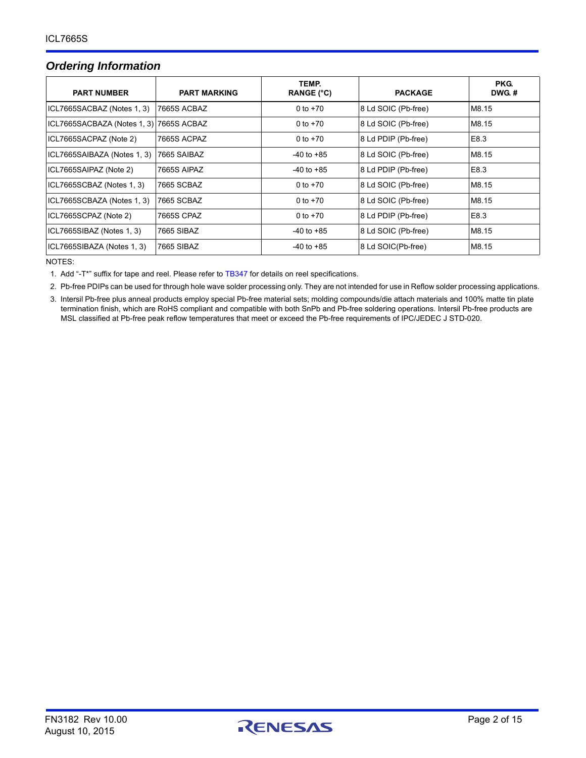## <span id="page-1-3"></span>*Ordering Information*

| <b>PART NUMBER</b>          | <b>PART MARKING</b> | TEMP.<br><b>RANGE (°C)</b> | <b>PACKAGE</b>      | PKG.<br>DWG.# |
|-----------------------------|---------------------|----------------------------|---------------------|---------------|
| ICL7665SACBAZ (Notes 1, 3)  | 7665S ACBAZ         | 0 to $+70$                 | 8 Ld SOIC (Pb-free) | M8.15         |
| ICL7665SACBAZA (Notes 1, 3) | 7665S ACBAZ         | 0 to $+70$                 | 8 Ld SOIC (Pb-free) | M8.15         |
| ICL7665SACPAZ (Note 2)      | 7665S ACPAZ         | 0 to $+70$                 | 8 Ld PDIP (Pb-free) | E8.3          |
| ICL7665SAIBAZA (Notes 1, 3) | 7665 SAIBAZ         | $-40$ to $+85$             | 8 Ld SOIC (Pb-free) | M8.15         |
| ICL7665SAIPAZ (Note 2)      | 7665S AIPAZ         | $-40$ to $+85$             | 8 Ld PDIP (Pb-free) | E8.3          |
| ICL7665SCBAZ (Notes 1, 3)   | 7665 SCBAZ          | 0 to $+70$                 | 8 Ld SOIC (Pb-free) | M8.15         |
| ICL7665SCBAZA (Notes 1, 3)  | 7665 SCBAZ          | 0 to $+70$                 | 8 Ld SOIC (Pb-free) | M8.15         |
| ICL7665SCPAZ (Note 2)       | 7665S CPAZ          | 0 to $+70$                 | 8 Ld PDIP (Pb-free) | E8.3          |
| ICL7665SIBAZ (Notes 1, 3)   | 7665 SIBAZ          | $-40$ to $+85$             | 8 Ld SOIC (Pb-free) | M8.15         |
| ICL7665SIBAZA (Notes 1, 3)  | 7665 SIBAZ          | $-40$ to $+85$             | 8 Ld SOIC(Pb-free)  | M8.15         |

NOTES:

<span id="page-1-0"></span>1. Add "-T\*" suffix for tape and reel. Please refer to [TB347](http://www.intersil.com/data/tb/tb347.pdf) for details on reel specifications.

<span id="page-1-2"></span>2. Pb-free PDIPs can be used for through hole wave solder processing only. They are not intended for use in Reflow solder processing applications.

<span id="page-1-1"></span>3. Intersil Pb-free plus anneal products employ special Pb-free material sets; molding compounds/die attach materials and 100% matte tin plate termination finish, which are RoHS compliant and compatible with both SnPb and Pb-free soldering operations. Intersil Pb-free products are MSL classified at Pb-free peak reflow temperatures that meet or exceed the Pb-free requirements of IPC/JEDEC J STD-020.

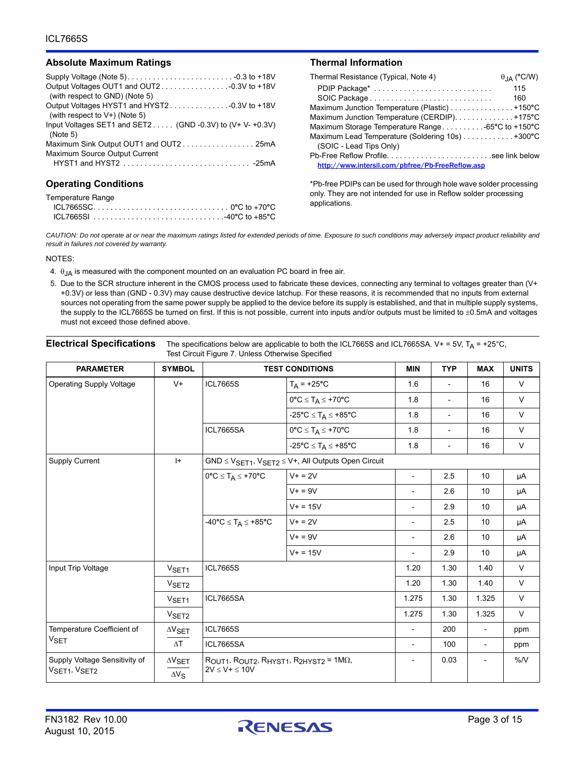#### **Absolute Maximum Ratings**

| (with respect to GND) (Note 5)                            |
|-----------------------------------------------------------|
|                                                           |
| (with respect to $V+$ ) (Note 5)                          |
| Input Voltages SET1 and SET2 (GND -0.3V) to (V+ V- +0.3V) |
| (Note 5)                                                  |
|                                                           |
| Maximum Source Output Current                             |
|                                                           |
|                                                           |

#### **Operating Conditions**

| Temperature Range |  |
|-------------------|--|
|                   |  |
|                   |  |

|  | Thermal Information |
|--|---------------------|
|--|---------------------|

| Thermal Resistance (Typical, Note 4)             | $\theta$ <sub>JA</sub> (°C/W) |
|--------------------------------------------------|-------------------------------|
| PDIP Package*                                    | 115                           |
|                                                  | 160                           |
| Maximum Junction Temperature (Plastic) +150°C    |                               |
| Maximum Junction Temperature (CERDIP). +175°C    |                               |
| Maximum Storage Temperature Range-65°C to +150°C |                               |
| Maximum Lead Temperature (Soldering 10s) +300°C  |                               |
| (SOIC - Lead Tips Only)                          |                               |
|                                                  |                               |
| http://www.intersil.com/pbfree/Pb-FreeReflow.asp |                               |

\*Pb-free PDIPs can be used for through hole wave solder processing only. They are not intended for use in Reflow solder processing applications.

*CAUTION: Do not operate at or near the maximum ratings listed for extended periods of time. Exposure to such conditions may adversely impact product reliability and result in failures not covered by warranty.*

#### NOTES:

- <span id="page-2-1"></span>4.  $\theta$ <sub>JA</sub> is measured with the component mounted on an evaluation PC board in free air.
- <span id="page-2-0"></span>5. Due to the SCR structure inherent in the CMOS process used to fabricate these devices, connecting any terminal to voltages greater than (V+ +0.3V) or less than (GND - 0.3V) may cause destructive device latchup. For these reasons, it is recommended that no inputs from external sources not operating from the same power supply be applied to the device before its supply is established, and that in multiple supply systems, the supply to the ICL7665S be turned on first. If this is not possible, current into inputs and/or outputs must be limited to ±0.5mA and voltages must not exceed those defined above.

| <b>Electrical Specifications</b> The specifications below are applicable to both the ICL7665S and ICL7665SA. V+ = 5V, $T_A$ = +25°C, |
|--------------------------------------------------------------------------------------------------------------------------------------|
| Test Circuit Figure 7. Unless Otherwise Specified                                                                                    |

| <b>PARAMETER</b>                              | <b>SYMBOL</b>                           |                                                                                                | <b>TEST CONDITIONS</b>                                              | <b>MIN</b>               | <b>TYP</b>               | <b>MAX</b>               | <b>UNITS</b> |
|-----------------------------------------------|-----------------------------------------|------------------------------------------------------------------------------------------------|---------------------------------------------------------------------|--------------------------|--------------------------|--------------------------|--------------|
| <b>Operating Supply Voltage</b>               | $V +$                                   | <b>ICL7665S</b>                                                                                | $T_A$ = +25°C                                                       | 1.6                      | $\overline{\phantom{a}}$ | 16                       | $\vee$       |
|                                               |                                         |                                                                                                | $0^{\circ}C \leq T_A \leq +70^{\circ}C$                             | 1.8                      | $\overline{\phantom{a}}$ | 16                       | $\vee$       |
|                                               |                                         |                                                                                                | $-25^{\circ}C \leq T_A \leq +85^{\circ}C$                           | 1.8                      | $\overline{\phantom{a}}$ | 16                       | $\vee$       |
|                                               |                                         | ICL7665SA                                                                                      | $0^{\circ}C \leq T_A \leq +70^{\circ}C$                             | 1.8                      | $\overline{\phantom{a}}$ | 16                       | $\vee$       |
|                                               |                                         |                                                                                                | $-25^{\circ}C \leq T_A \leq +85^{\circ}C$                           | 1.8                      | $\overline{\phantom{a}}$ | 16                       | $\vee$       |
| <b>Supply Current</b>                         | $ + $                                   |                                                                                                | $GND \leq V_{SET1}$ , $V_{SET2} \leq V+$ , All Outputs Open Circuit |                          |                          |                          |              |
|                                               |                                         | $0^{\circ}C \leq T_A \leq +70^{\circ}C$                                                        | $V + = 2V$                                                          | $\blacksquare$           | 2.5                      | 10                       | μA           |
|                                               |                                         |                                                                                                | $V + = 9V$                                                          | $\overline{\phantom{a}}$ | 2.6                      | 10                       | μA           |
|                                               |                                         |                                                                                                | $V + = 15V$                                                         | $\overline{\phantom{a}}$ | 2.9                      | 10                       | μA           |
|                                               |                                         | $-40^{\circ}C \leq T_A \leq +85^{\circ}C$                                                      | $V + = 2V$                                                          | $\overline{a}$           | 2.5                      | 10                       | μA           |
|                                               |                                         |                                                                                                | $V + = 9V$                                                          | $\overline{a}$           | 2.6                      | 10                       | μA           |
|                                               |                                         |                                                                                                | $V + = 15V$                                                         |                          | 2.9                      | 10                       | μA           |
| Input Trip Voltage                            | V <sub>SET1</sub>                       | <b>ICL7665S</b>                                                                                |                                                                     | 1.20                     | 1.30                     | 1.40                     | $\vee$       |
|                                               | V <sub>SET2</sub>                       |                                                                                                |                                                                     | 1.20                     | 1.30                     | 1.40                     | $\vee$       |
|                                               | V <sub>SET1</sub>                       | <b>ICL7665SA</b>                                                                               |                                                                     | 1.275                    | 1.30                     | 1.325                    | $\vee$       |
|                                               | V <sub>SET2</sub>                       |                                                                                                |                                                                     | 1.275                    | 1.30                     | 1.325                    | $\vee$       |
| Temperature Coefficient of                    | $\Delta V$ SET                          | <b>ICL7665S</b><br><b>ICL7665SA</b>                                                            |                                                                     | $\blacksquare$           | 200                      | $\overline{\phantom{a}}$ | ppm          |
| $V_{\sf SET}$                                 | $\Delta\mathsf{T}$                      |                                                                                                |                                                                     | $\overline{\phantom{a}}$ | 100                      | $\overline{\phantom{a}}$ | ppm          |
| Supply Voltage Sensitivity of<br>VSET1, VSET2 | $\Delta V_{\text{SET}}$<br>$\Delta V_S$ | $R_{OUT1}$ , $R_{OUT2}$ , $R_{HYST1}$ , $R_{2HYST2}$ = 1M $\Omega$ ,<br>$2V \leq V + \leq 10V$ |                                                                     | $\overline{\phantom{a}}$ | 0.03                     |                          | %N           |

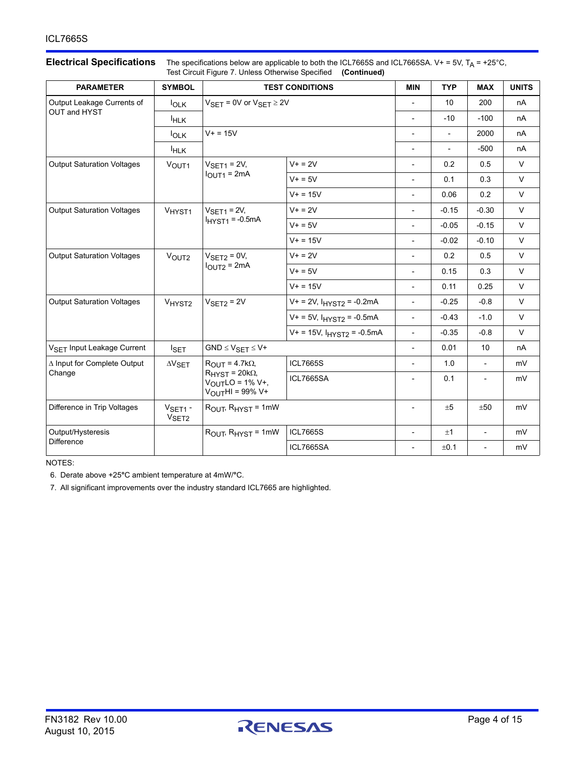## **Electrical Specifications** The specifications below are applicable to both the ICL7665S and ICL7665SA. V+ = 5V, T<sub>A</sub> = +25°C,

| Test Circuit Figure 7. Unless Otherwise Specified (Continued) |                                |                                                                                                                  |                                                                                    |                                     |                          |                          |              |
|---------------------------------------------------------------|--------------------------------|------------------------------------------------------------------------------------------------------------------|------------------------------------------------------------------------------------|-------------------------------------|--------------------------|--------------------------|--------------|
| <b>PARAMETER</b>                                              | <b>SYMBOL</b>                  | <b>TEST CONDITIONS</b>                                                                                           |                                                                                    |                                     | <b>TYP</b>               | <b>MAX</b>               | <b>UNITS</b> |
| Output Leakage Currents of                                    | $I_{OLK}$                      | $V_{\text{SET}} = 0V$ or $V_{\text{SET}} \ge 2V$                                                                 |                                                                                    | $\overline{\phantom{0}}$            | 10                       | 200                      | nA           |
| OUT and HYST                                                  | <b>IHLK</b>                    |                                                                                                                  |                                                                                    | $\qquad \qquad \blacksquare$        | $-10$                    | $-100$                   | nA           |
|                                                               | $I_{OLK}$                      | $V + = 15V$                                                                                                      |                                                                                    | $\overline{\phantom{0}}$            | $\blacksquare$           | 2000                     | nA           |
|                                                               | <sup>I</sup> HLK               |                                                                                                                  |                                                                                    | $\frac{1}{2}$                       | $\overline{\phantom{0}}$ | $-500$                   | nA           |
| <b>Output Saturation Voltages</b>                             | VOUT1                          | $VSET1 = 2V,$                                                                                                    | $V + = 2V$<br>0.2<br>$\overline{\phantom{0}}$<br>$V + 5V$<br>0.1<br>$\overline{a}$ |                                     | 0.5                      | $\vee$                   |              |
|                                                               |                                | $IOUT1 = 2mA$                                                                                                    |                                                                                    |                                     | 0.3                      | $\vee$                   |              |
|                                                               |                                |                                                                                                                  | $V + = 15V$                                                                        | $\overline{\phantom{a}}$            | 0.06                     | 0.2                      | $\vee$       |
| <b>Output Saturation Voltages</b>                             | VHYST <sub>1</sub>             | $VSET1 = 2V,$                                                                                                    | $V + = 2V$                                                                         | $\overline{\phantom{0}}$            | $-0.15$                  | $-0.30$                  | $\vee$       |
|                                                               |                                | $I_{H}$ <sub>HYST1</sub> = -0.5mA                                                                                | $V + 5V$                                                                           | $\overline{\phantom{a}}$            | $-0.05$                  | $-0.15$                  | $\vee$       |
|                                                               |                                |                                                                                                                  | $V + = 15V$                                                                        | $\overline{\phantom{0}}$            | $-0.02$                  | $-0.10$                  | $\vee$       |
| <b>Output Saturation Voltages</b>                             | VOUT <sub>2</sub>              | $V + = 2V$<br>$VSET2 = 0V,$<br>$IOUT2 = 2mA$<br>$V + 5V$                                                         |                                                                                    | $\overline{\phantom{0}}$            | 0.2                      | 0.5                      | $\vee$       |
|                                                               |                                |                                                                                                                  |                                                                                    | $\overline{\phantom{0}}$            | 0.15                     | 0.3                      | $\vee$       |
|                                                               |                                |                                                                                                                  | $V + = 15V$                                                                        | $\overline{a}$                      | 0.11                     | 0.25                     | $\vee$       |
| <b>Output Saturation Voltages</b>                             | VHYST <sub>2</sub>             | $VSET2 = 2V$                                                                                                     | $V + = 2V$ , $I_{H}YST2 = -0.2mA$                                                  | $-0.25$<br>$-0.8$<br>$\overline{a}$ | $\vee$                   |                          |              |
|                                                               |                                |                                                                                                                  | $V_+$ = 5V, $I_{HYST2}$ = -0.5mA                                                   | $\overline{a}$                      | $-0.43$                  | $-1.0$                   | $\vee$       |
|                                                               |                                |                                                                                                                  | $V+ = 15V$ , $IHYST2 = -0.5mA$                                                     | $\overline{a}$                      | $-0.35$                  | $-0.8$                   | $\vee$       |
| V <sub>SET</sub> Input Leakage Current                        | I <sub>SET</sub>               | $GND \leq V_{SET} \leq V+$                                                                                       |                                                                                    | $\overline{\phantom{0}}$            | 0.01                     | 10 <sup>°</sup>          | nA           |
| ∆ Input for Complete Output                                   | $\Delta V_{\text{SET}}$        | $R_{\text{OUT}} = 4.7k\Omega$ ,                                                                                  | <b>ICL7665S</b>                                                                    | $\overline{\phantom{0}}$            | 1.0                      | $\overline{\phantom{a}}$ | mV           |
| Change                                                        |                                | $R_{H YST}$ = 20k $\Omega$ ,<br><b>ICL7665SA</b><br>$V_{\text{OUT}}$ LO = 1% V+,<br>$V_{\text{OUT}}$ HI = 99% V+ |                                                                                    | $\overline{\phantom{0}}$            | 0.1                      |                          | mV           |
| Difference in Trip Voltages                                   | $VSET1$ -<br>V <sub>SET2</sub> | $R_{\text{OUT}}$ , $R_{\text{HYST}}$ = 1mW                                                                       |                                                                                    | $\overline{\phantom{0}}$            | ±5                       | ±50                      | mV           |
| Output/Hysteresis                                             |                                | ROUT, RHYST = 1mW                                                                                                | <b>ICL7665S</b>                                                                    | $\overline{\phantom{a}}$            | ±1                       | $\overline{\phantom{a}}$ | mV           |
| <b>Difference</b>                                             |                                |                                                                                                                  | ICL7665SA                                                                          | $\overline{\phantom{0}}$            | ±0.1                     | $\overline{\phantom{a}}$ | mV           |

NOTES:

6. Derate above +25**°**C ambient temperature at 4mW/**°**C.

7. All significant improvements over the industry standard ICL7665 are highlighted.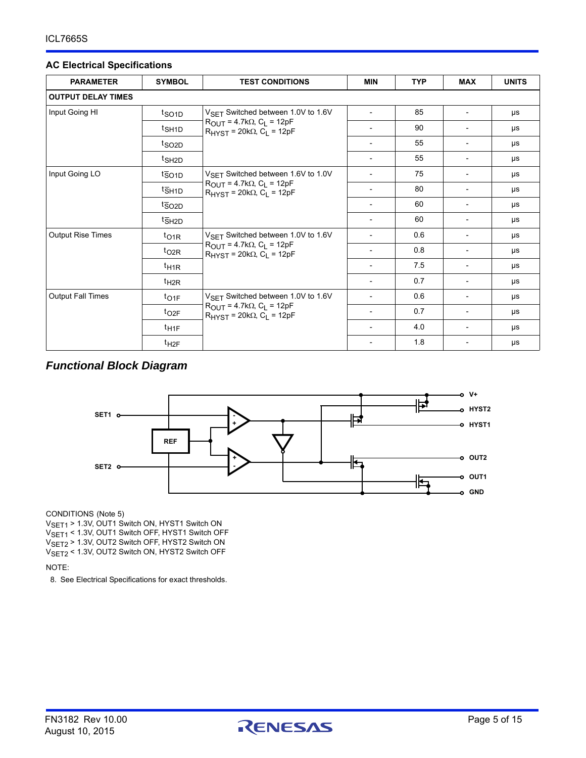#### **AC Electrical Specifications**

| <b>PARAMETER</b>          | <b>SYMBOL</b>     | <b>TEST CONDITIONS</b>                                                                                                                                      | <b>MIN</b>                   | <b>TYP</b> | <b>MAX</b>               | <b>UNITS</b> |
|---------------------------|-------------------|-------------------------------------------------------------------------------------------------------------------------------------------------------------|------------------------------|------------|--------------------------|--------------|
| <b>OUTPUT DELAY TIMES</b> |                   |                                                                                                                                                             |                              |            |                          |              |
| Input Going HI            | t <sub>SO1D</sub> | $V_{\rm SFT}$ Switched between 1.0V to 1.6V                                                                                                                 |                              | 85         |                          | μs           |
|                           | t <sub>SH1D</sub> | $R_{\text{OUT}} = 4.7k\Omega$ , C <sub>L</sub> = 12pF<br>$R_{H YST}$ = 20k $\Omega$ , C <sub>1</sub> = 12pF                                                 |                              | 90         |                          | μs           |
|                           | t <sub>SO2D</sub> |                                                                                                                                                             |                              | 55         |                          | μs           |
|                           | t <sub>SH2D</sub> |                                                                                                                                                             | $\overline{\phantom{0}}$     | 55         | $\overline{\phantom{a}}$ | μs           |
| Input Going LO            | $t_{\text{SO1D}}$ | V <sub>SET</sub> Switched between 1.6V to 1.0V<br>$R_{\text{OUT}} = 4.7k\Omega$ , C <sub>L</sub> = 12pF<br>$R_{H YST}$ = 20k $\Omega$ , $C_L$ = 12pF        |                              | 75         |                          | μs           |
|                           | t <sub>SH1D</sub> |                                                                                                                                                             |                              | 80         | $\overline{\phantom{a}}$ | μs           |
|                           | $t_{\text{SO2D}}$ |                                                                                                                                                             |                              | 60         |                          | μs           |
|                           | t <sub>SH2D</sub> |                                                                                                                                                             | $\overline{\phantom{a}}$     | 60         | $\overline{\phantom{a}}$ | μs           |
| <b>Output Rise Times</b>  | $t_{\text{O1R}}$  | V <sub>SFT</sub> Switched between 1.0V to 1.6V<br>$R_{\text{OUT}} = 4.7k\Omega$ , C <sub>L</sub> = 12pF<br>$R_{H}\gamma_{ST}$ = 20k $\Omega$ , $C_1$ = 12pF | $\overline{a}$               | 0.6        |                          | μs           |
|                           | $t_{O2R}$         |                                                                                                                                                             | $\overline{\phantom{a}}$     | 0.8        |                          | μs           |
|                           | $t_{\text{H1R}}$  |                                                                                                                                                             | $\overline{\phantom{a}}$     | 7.5        |                          | μs           |
|                           | $t_{H2R}$         |                                                                                                                                                             | $\overline{\phantom{a}}$     | 0.7        |                          | μs           |
| <b>Output Fall Times</b>  | $t_{O1F}$         | V <sub>SET</sub> Switched between 1.0V to 1.6V<br>$R_{OIII}$ = 4.7k $\Omega$ , $C_{I}$ = 12pF<br>$R_{H YST}$ = 20k $\Omega$ , C <sub>1</sub> = 12pF         | $\qquad \qquad \blacksquare$ | 0.6        | $\overline{\phantom{a}}$ | μs           |
|                           | $t_{O2F}$         |                                                                                                                                                             |                              | 0.7        | $\overline{\phantom{a}}$ | μs           |
|                           | $t_{\text{H1F}}$  |                                                                                                                                                             | $\overline{\phantom{a}}$     | 4.0        | $\overline{\phantom{a}}$ | μs           |
|                           | $t_{H2F}$         |                                                                                                                                                             |                              | 1.8        |                          | μs           |

## *Functional Block Diagram*



CONDITIONS (Note 5)

V<sub>SET1</sub> > 1.3V, OUT1 Switch ON, HYST1 Switch ON V<sub>SET1</sub> < 1.3V, OUT1 Switch OFF, HYST1 Switch OFF VSET2 > 1.3V, OUT2 Switch OFF, HYST2 Switch ON VSET2 < 1.3V, OUT2 Switch ON, HYST2 Switch OFF

NOTE:

8. See Electrical Specifications for exact thresholds.

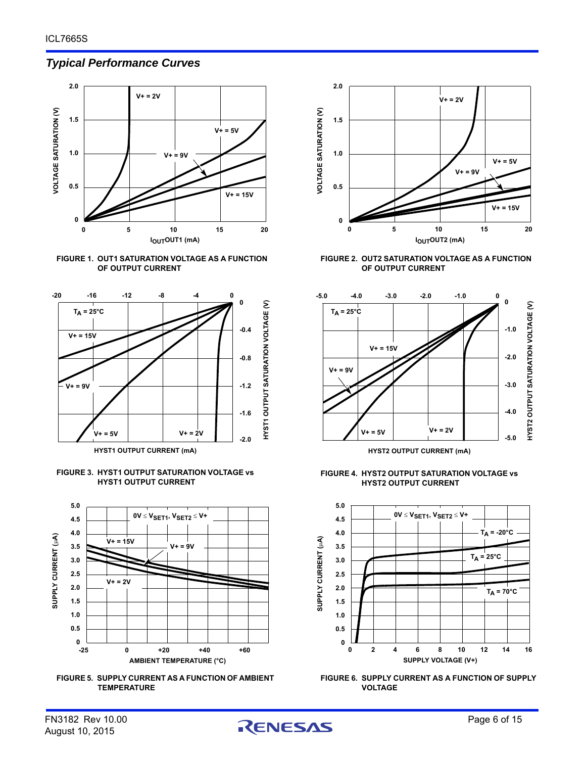### *Typical Performance Curves*















**FIGURE 2. OUT2 SATURATION VOLTAGE AS A FUNCTION OF OUTPUT CURRENT**



**HYST2 OUTPUT CURRENT (mA)**

**FIGURE 4. HYST2 OUTPUT SATURATION VOLTAGE vs HYST2 OUTPUT CURRENT**





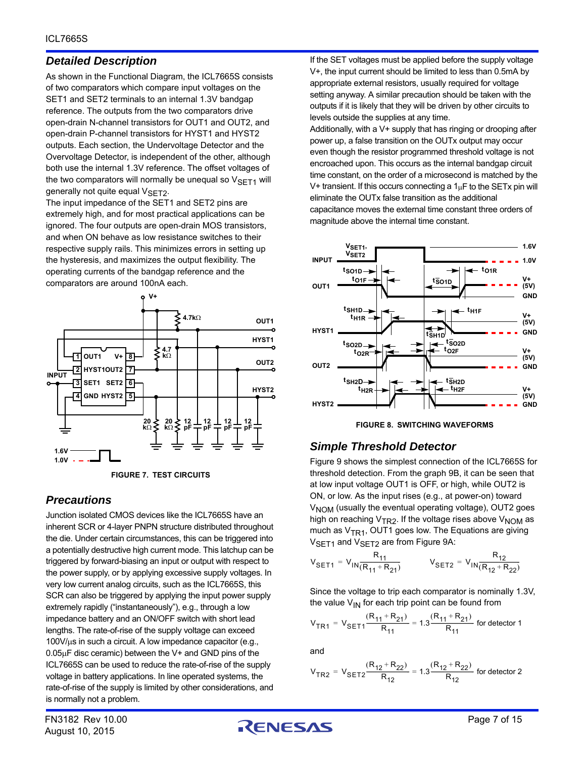## *Detailed Description*

As shown in the Functional Diagram, the ICL7665S consists of two comparators which compare input voltages on the SET1 and SET2 terminals to an internal 1.3V bandgap reference. The outputs from the two comparators drive open-drain N-channel transistors for OUT1 and OUT2, and open-drain P-channel transistors for HYST1 and HYST2 outputs. Each section, the Undervoltage Detector and the Overvoltage Detector, is independent of the other, although both use the internal 1.3V reference. The offset voltages of the two comparators will normally be unequal so  $V<sub>SET1</sub>$  will generally not quite equal  $V<sub>SET2</sub>$ .

The input impedance of the SET1 and SET2 pins are extremely high, and for most practical applications can be ignored. The four outputs are open-drain MOS transistors, and when ON behave as low resistance switches to their respective supply rails. This minimizes errors in setting up the hysteresis, and maximizes the output flexibility. The operating currents of the bandgap reference and the comparators are around 100nA each.



**FIGURE 7. TEST CIRCUITS**

## <span id="page-6-0"></span>*Precautions*

Junction isolated CMOS devices like the ICL7665S have an inherent SCR or 4-layer PNPN structure distributed throughout the die. Under certain circumstances, this can be triggered into a potentially destructive high current mode. This latchup can be triggered by forward-biasing an input or output with respect to the power supply, or by applying excessive supply voltages. In very low current analog circuits, such as the ICL7665S, this SCR can also be triggered by applying the input power supply extremely rapidly ("instantaneously"), e.g., through a low impedance battery and an ON/OFF switch with short lead lengths. The rate-of-rise of the supply voltage can exceed  $100V/\mu s$  in such a circuit. A low impedance capacitor (e.g.,  $0.05\mu$ F disc ceramic) between the V+ and GND pins of the ICL7665S can be used to reduce the rate-of-rise of the supply voltage in battery applications. In line operated systems, the rate-of-rise of the supply is limited by other considerations, and is normally not a problem.

If the SET voltages must be applied before the supply voltage V+, the input current should be limited to less than 0.5mA by appropriate external resistors, usually required for voltage setting anyway. A similar precaution should be taken with the outputs if it is likely that they will be driven by other circuits to levels outside the supplies at any time. Additionally, with a V+ supply that has ringing or drooping after power up, a false transition on the OUTx output may occur even though the resistor programmed threshold voltage is not encroached upon. This occurs as the internal bandgap circuit time constant, on the order of a microsecond is matched by the V+ transient. If this occurs connecting a  $1<sub>\mu</sub>F$  to the SETx pin will eliminate the OUTx false transition as the additional

capacitance moves the external time constant three orders of magnitude above the internal time constant.





## *Simple Threshold Detector*

Figure [9](#page-7-0) shows the simplest connection of the ICL7665S for threshold detection. From the graph [9B,](#page-7-1) it can be seen that at low input voltage OUT1 is OFF, or high, while OUT2 is ON, or low. As the input rises (e.g., at power-on) toward V<sub>NOM</sub> (usually the eventual operating voltage), OUT2 goes high on reaching  $V_{TR2}$ . If the voltage rises above  $V_{NOM}$  as much as  $V<sub>TR1</sub>$ , OUT1 goes low. The Equations are giving V<sub>SET1</sub> and V<sub>SET2</sub> are from Figure [9A:](#page-7-2)

$$
V_{\text{SET1}} = V_{\text{IN}} \frac{R_{11}}{(R_{11} + R_{21})}
$$
  $V_{\text{SET2}} = V_{\text{IN}} \frac{R_{12}}{(R_{12} + R_{22})}$ 

Since the voltage to trip each comparator is nominally 1.3V, the value  $V_{IN}$  for each trip point can be found from

$$
V_{TR1} = V_{SET1} \frac{(R_{11} + R_{21})}{R_{11}} = 1.3 \frac{(R_{11} + R_{21})}{R_{11}}
$$
 for detector 1

and

$$
V_{TR2} = V_{SET2} \frac{(R_{12} + R_{22})}{R_{12}} = 1.3 \frac{(R_{12} + R_{22})}{R_{12}}
$$
 for detector 2

August 10, 2015

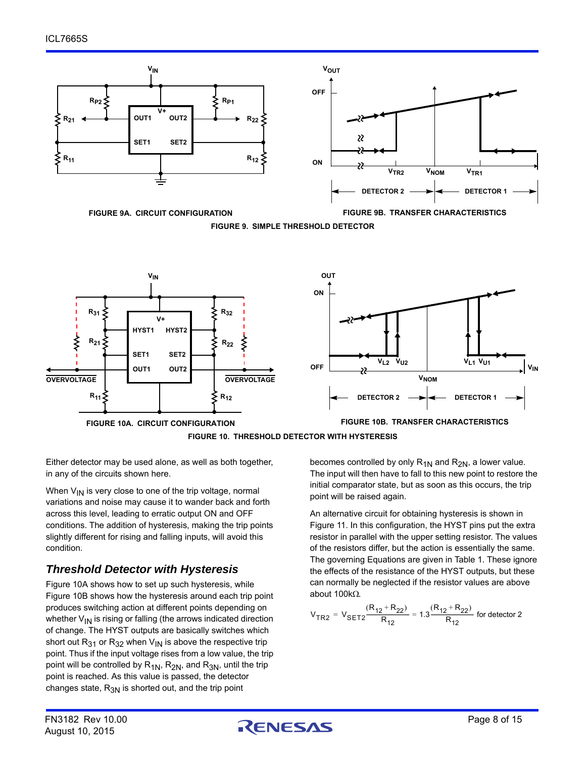

<span id="page-7-2"></span><span id="page-7-1"></span><span id="page-7-0"></span>**FIGURE 9A. CIRCUIT CONFIGURATION FIGURE 9B. TRANSFER CHARACTERISTICS FIGURE 9. SIMPLE THRESHOLD DETECTOR**





<span id="page-7-3"></span>Either detector may be used alone, as well as both together, in any of the circuits shown here.

When  $V_{IN}$  is very close to one of the trip voltage, normal variations and noise may cause it to wander back and forth across this level, leading to erratic output ON and OFF conditions. The addition of hysteresis, making the trip points slightly different for rising and falling inputs, will avoid this condition.

## *Threshold Detector with Hysteresis*

Figure [10A](#page-7-3) shows how to set up such hysteresis, while Figure [10B](#page-7-4) shows how the hysteresis around each trip point produces switching action at different points depending on whether  $V_{IN}$  is rising or falling (the arrows indicated direction of change. The HYST outputs are basically switches which short out  $R_{31}$  or  $R_{32}$  when  $V_{1N}$  is above the respective trip point. Thus if the input voltage rises from a low value, the trip point will be controlled by  $R_{1N}$ ,  $R_{2N}$ , and  $R_{3N}$ , until the trip point is reached. As this value is passed, the detector changes state,  $R_{3N}$  is shorted out, and the trip point

<span id="page-7-4"></span>becomes controlled by only  $R_{1N}$  and  $R_{2N}$ , a lower value. The input will then have to fall to this new point to restore the initial comparator state, but as soon as this occurs, the trip point will be raised again.

An alternative circuit for obtaining hysteresis is shown in Figure 11. In this configuration, the HYST pins put the extra resistor in parallel with the upper setting resistor. The values of the resistors differ, but the action is essentially the same. The governing Equations are given in Table 1. These ignore the effects of the resistance of the HYST outputs, but these can normally be neglected if the resistor values are above about  $100k\Omega$ .

$$
V_{TR2} = V_{SET2} \frac{(R_{12} + R_{22})}{R_{12}} = 1.3 \frac{(R_{12} + R_{22})}{R_{12}}
$$
 for detector 2

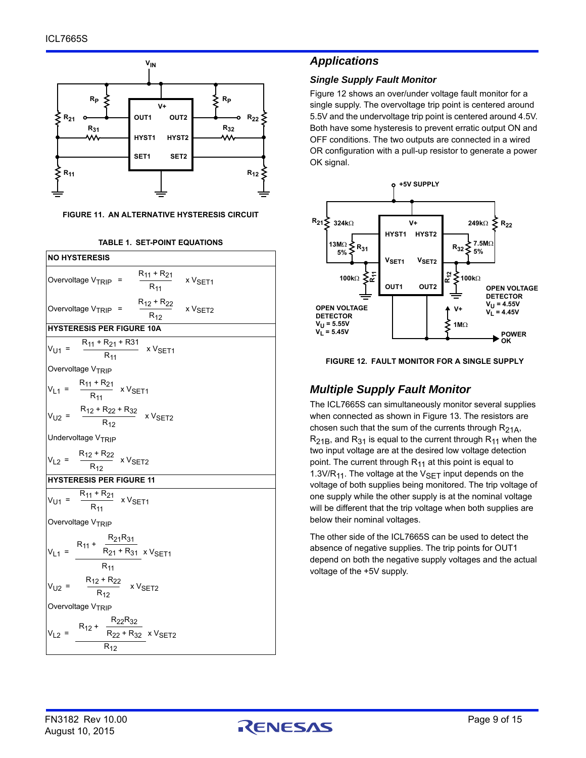

<span id="page-8-1"></span>**FIGURE 11. AN ALTERNATIVE HYSTERESIS CIRCUIT**



#### **TABLE 1. SET-POINT EQUATIONS**

#### *Applications*

#### *Single Supply Fault Monitor*

Figure [12](#page-8-0) shows an over/under voltage fault monitor for a single supply. The overvoltage trip point is centered around 5.5V and the undervoltage trip point is centered around 4.5V. Both have some hysteresis to prevent erratic output ON and OFF conditions. The two outputs are connected in a wired OR configuration with a pull-up resistor to generate a power OK signal.



<span id="page-8-0"></span>**FIGURE 12. FAULT MONITOR FOR A SINGLE SUPPLY**

### *Multiple Supply Fault Monitor*

The ICL7665S can simultaneously monitor several supplies when connected as shown in Figure [13.](#page-9-0) The resistors are chosen such that the sum of the currents through  $R_{21A}$ ,  $R_{21B}$ , and  $R_{31}$  is equal to the current through  $R_{11}$  when the two input voltage are at the desired low voltage detection point. The current through  $R_{11}$  at this point is equal to 1.3V/R<sub>11</sub>. The voltage at the  $V_{\text{SET}}$  input depends on the voltage of both supplies being monitored. The trip voltage of one supply while the other supply is at the nominal voltage will be different that the trip voltage when both supplies are below their nominal voltages.

The other side of the ICL7665S can be used to detect the absence of negative supplies. The trip points for OUT1 depend on both the negative supply voltages and the actual voltage of the +5V supply.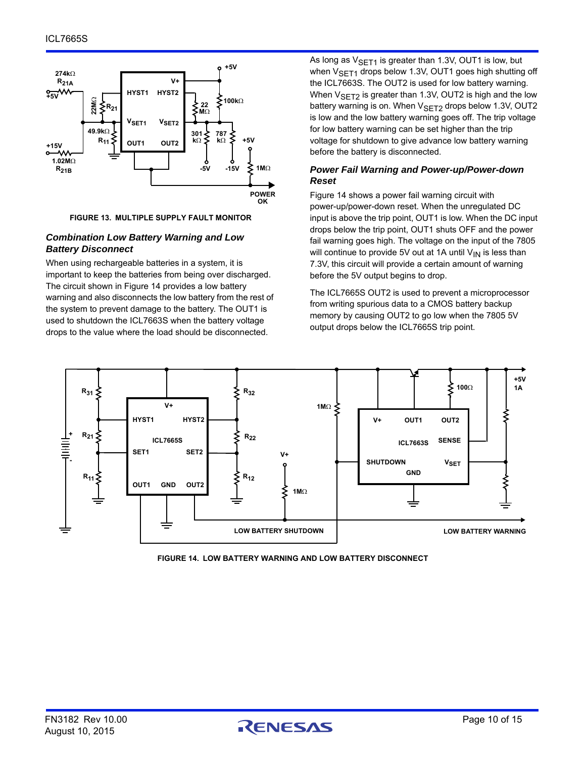



#### <span id="page-9-0"></span>*Combination Low Battery Warning and Low Battery Disconnect*

When using rechargeable batteries in a system, it is important to keep the batteries from being over discharged. The circuit shown in Figure [14](#page-9-1) provides a low battery warning and also disconnects the low battery from the rest of the system to prevent damage to the battery. The OUT1 is used to shutdown the ICL7663S when the battery voltage drops to the value where the load should be disconnected.

As long as  $V_{\text{SFT1}}$  is greater than 1.3V, OUT1 is low, but when  $V_{\text{SFT1}}$  drops below 1.3V, OUT1 goes high shutting off the ICL7663S. The OUT2 is used for low battery warning. When  $V_{\text{SET2}}$  is greater than 1.3V, OUT2 is high and the low battery warning is on. When  $V_{\text{SFT2}}$  drops below 1.3V, OUT2 is low and the low battery warning goes off. The trip voltage for low battery warning can be set higher than the trip voltage for shutdown to give advance low battery warning before the battery is disconnected.

#### *Power Fail Warning and Power-up/Power-down Reset*

Figure [14](#page-9-1) shows a power fail warning circuit with power-up/power-down reset. When the unregulated DC input is above the trip point, OUT1 is low. When the DC input drops below the trip point, OUT1 shuts OFF and the power fail warning goes high. The voltage on the input of the 7805 will continue to provide 5V out at 1A until  $V_{IN}$  is less than 7.3V, this circuit will provide a certain amount of warning before the 5V output begins to drop.

The ICL7665S OUT2 is used to prevent a microprocessor from writing spurious data to a CMOS battery backup memory by causing OUT2 to go low when the 7805 5V output drops below the ICL7665S trip point.



<span id="page-9-1"></span>**FIGURE 14. LOW BATTERY WARNING AND LOW BATTERY DISCONNECT**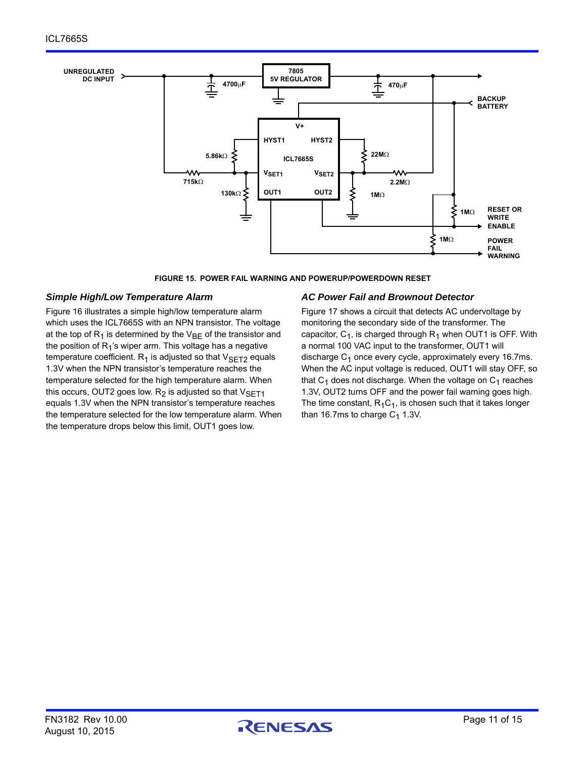

**FIGURE 15. POWER FAIL WARNING AND POWERUP/POWERDOWN RESET**

#### *Simple High/Low Temperature Alarm*

Figure [16](#page-11-0) illustrates a simple high/low temperature alarm which uses the ICL7665S with an NPN transistor. The voltage at the top of  $R_1$  is determined by the  $V_{BF}$  of the transistor and the position of  $R_1$ 's wiper arm. This voltage has a negative temperature coefficient.  $R_1$  is adjusted so that  $V_{\text{SET2}}$  equals 1.3V when the NPN transistor's temperature reaches the temperature selected for the high temperature alarm. When this occurs, OUT2 goes low.  $R_2$  is adjusted so that  $V_{\text{SFT1}}$ equals 1.3V when the NPN transistor's temperature reaches the temperature selected for the low temperature alarm. When the temperature drops below this limit, OUT1 goes low.

#### *AC Power Fail and Brownout Detector*

Figure [17](#page-11-1) shows a circuit that detects AC undervoltage by monitoring the secondary side of the transformer. The capacitor,  $C_1$ , is charged through  $R_1$  when OUT1 is OFF. With a normal 100 VAC input to the transformer, OUT1 will discharge  $C_1$  once every cycle, approximately every 16.7ms. When the AC input voltage is reduced, OUT1 will stay OFF, so that  $C_1$  does not discharge. When the voltage on  $C_1$  reaches 1.3V, OUT2 turns OFF and the power fail warning goes high. The time constant,  $R_1C_1$ , is chosen such that it takes longer than 16.7ms to charge  $C_1$  1.3V.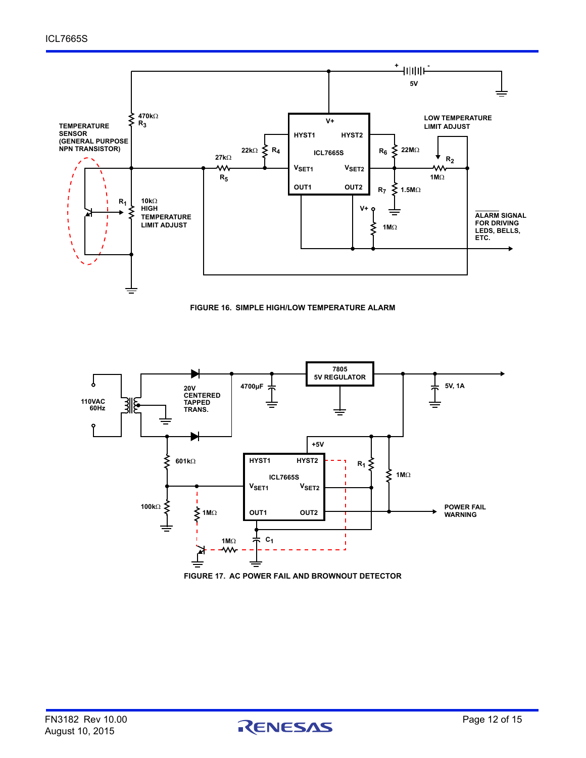



<span id="page-11-0"></span>

<span id="page-11-1"></span>**FIGURE 17. AC POWER FAIL AND BROWNOUT DETECTOR**

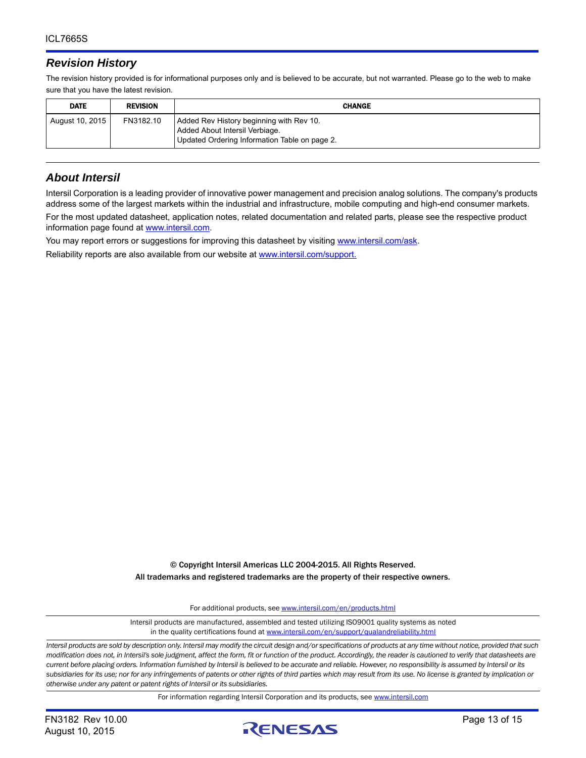### *Revision History*

The revision history provided is for informational purposes only and is believed to be accurate, but not warranted. Please go to the web to make sure that you have the latest revision.

| <b>DATE</b>     | <b>REVISION</b> | <b>CHANGE</b>                                                                                                               |
|-----------------|-----------------|-----------------------------------------------------------------------------------------------------------------------------|
| August 10, 2015 | FN3182.10       | Added Rev History beginning with Rev 10.<br>Added About Intersil Verbiage.<br>Updated Ordering Information Table on page 2. |

#### *About Intersil*

Intersil Corporation is a leading provider of innovative power management and precision analog solutions. The company's products address some of the largest markets within the industrial and infrastructure, mobile computing and high-end consumer markets.

For the most updated datasheet, application notes, related documentation and related parts, please see the respective product information page found at<www.intersil.com>.

You may report errors or suggestions for improving this datasheet by visiting [www.intersil.com/ask](http://www.intersil.com/en/support.html?OrganizationID=784358&p=createnewticket&p_href=http%3A%2F%2Fwww.intersil.com%2Fen%2Fsupport.html).

Reliability reports are also available from our website at [www.intersil.com/support.](http://www.intersil.com/en/support/qualandreliability.html#reliability)

© Copyright Intersil Americas LLC 2004-2015. All Rights Reserved. All trademarks and registered trademarks are the property of their respective owners.

For additional products, see [www.intersil.com/en/products.html](http://www.intersil.com/en/products.html?utm_source=Intersil&utm_medium=datasheet&utm_campaign=disclaimer-ds-footer)

[Intersil products are manufactured, assembled and tested utilizing ISO9001 quality systems as noted](http://www.intersil.com/en/products.html?utm_source=Intersil&utm_medium=datasheet&utm_campaign=disclaimer-ds-footer) in the quality certifications found at [www.intersil.com/en/support/qualandreliability.html](http://www.intersil.com/en/support/qualandreliability.html?utm_source=Intersil&utm_medium=datasheet&utm_campaign=disclaimer-ds-footer)

*Intersil products are sold by description only. Intersil may modify the circuit design and/or specifications of products at any time without notice, provided that such modification does not, in Intersil's sole judgment, affect the form, fit or function of the product. Accordingly, the reader is cautioned to verify that datasheets are current before placing orders. Information furnished by Intersil is believed to be accurate and reliable. However, no responsibility is assumed by Intersil or its subsidiaries for its use; nor for any infringements of patents or other rights of third parties which may result from its use. No license is granted by implication or otherwise under any patent or patent rights of Intersil or its subsidiaries.*

For information regarding Intersil Corporation and its products, see [www.intersil.com](http://www.intersil.com?utm_source=intersil&utm_medium=datasheet&utm_campaign=disclaimer-ds-footer)

August 10, 2015

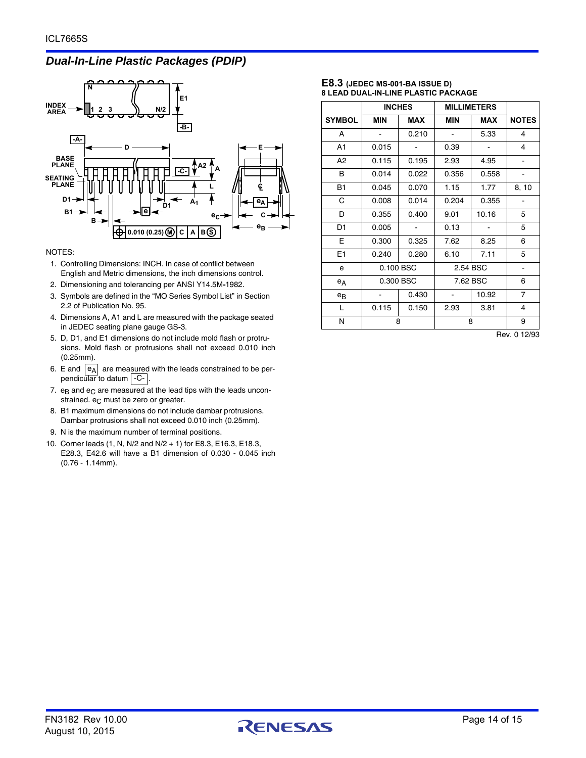## *Dual-In-Line Plastic Packages (PDIP)*



#### NOTES:

- 1. Controlling Dimensions: INCH. In case of conflict between English and Metric dimensions, the inch dimensions control.
- 2. Dimensioning and tolerancing per ANSI Y14.5M**-**1982.
- 3. Symbols are defined in the "MO Series Symbol List" in Section 2.2 of Publication No. 95.
- 4. Dimensions A, A1 and L are measured with the package seated in JEDEC seating plane gauge GS**-**3.
- 5. D, D1, and E1 dimensions do not include mold flash or protrusions. Mold flash or protrusions shall not exceed 0.010 inch (0.25mm).
- 6. E and  $|e_A|$  are measured with the leads constrained to be perpendicular to datum | C- |.
- 7.  $e_B$  and  $e_C$  are measured at the lead tips with the leads unconstrained.  $e_C$  must be zero or greater.
- 8. B1 maximum dimensions do not include dambar protrusions. Dambar protrusions shall not exceed 0.010 inch (0.25mm).
- 9. N is the maximum number of terminal positions.
- 10. Corner leads (1, N, N/2 and N/2 + 1) for E8.3, E16.3, E18.3, E28.3, E42.6 will have a B1 dimension of 0.030 - 0.045 inch (0.76 - 1.14mm).

#### **E8.3 (JEDEC MS-001-BA ISSUE D) 8 LEAD DUAL-IN-LINE PLASTIC PACKAGE**

|                | <b>INCHES</b> |            | <b>MILLIMETERS</b> |            |                |
|----------------|---------------|------------|--------------------|------------|----------------|
| <b>SYMBOL</b>  | <b>MIN</b>    | <b>MAX</b> | MIN                | <b>MAX</b> | <b>NOTES</b>   |
| A              |               | 0.210      |                    | 5.33       | 4              |
| A1             | 0.015         |            | 0.39               |            | 4              |
| A <sub>2</sub> | 0.115         | 0.195      | 2.93               | 4.95       |                |
| В              | 0.014         | 0.022      | 0.356              | 0.558      |                |
| <b>B1</b>      | 0.045         | 0.070      | 1.15               | 1.77       | 8, 10          |
| C              | 0.008         | 0.014      | 0.204              | 0.355      |                |
| D              | 0.355         | 0.400      | 9.01               | 10.16      | 5              |
| D <sub>1</sub> | 0.005         |            | 0.13               |            | 5              |
| Е              | 0.300         | 0.325      | 7.62               | 8.25       | 6              |
| E1             | 0.240         | 0.280      | 6.10               | 7.11       | 5              |
| e              |               | 0.100 BSC  |                    | 2.54 BSC   | -              |
| $e_A$          |               | 0.300 BSC  | 7.62 BSC           |            | 6              |
| $e_{B}$        |               | 0.430      |                    | 10.92      | $\overline{7}$ |
| L              | 0.115         | 0.150      | 2.93               | 3.81       | 4              |
| N              |               | 8          | 8                  |            | 9              |

Rev. 0 12/93